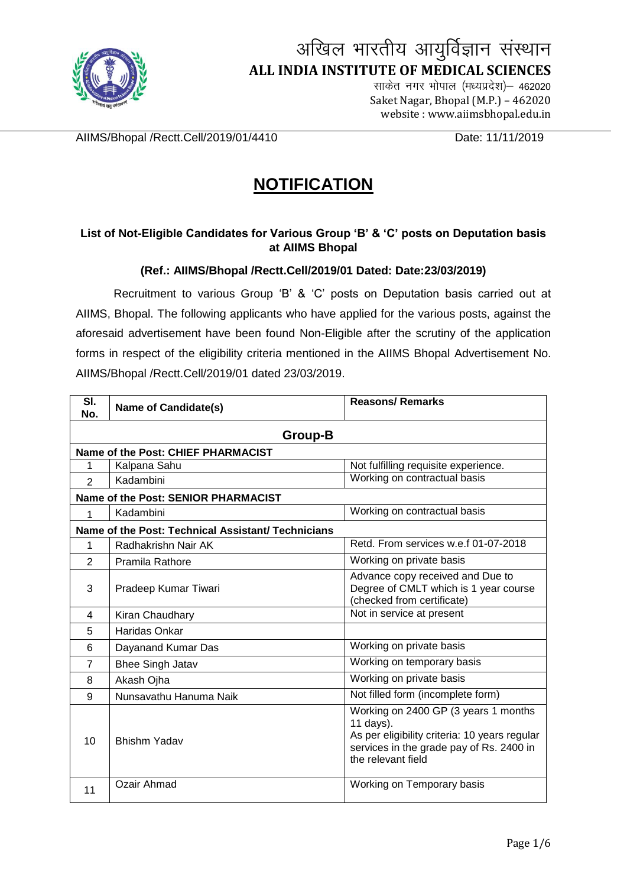

## अखिल भारतीय आयुर्विज्ञान संस्थान  **ALL INDIA INSTITUTE OF MEDICAL SCIENCES**

साकेत नगर भोपाल (मध्यप्रदेश)– 462020 Saket Nagar, Bhopal (M.P.) – <sup>462020</sup> website : www.aiimsbhopal.edu.in

AIIMS/Bhopal /Rectt.Cell/2019/01/4410 Date: 11/11/2019

## **NOTIFICATION**

## **List of Not-Eligible Candidates for Various Group 'B' & 'C' posts on Deputation basis at AIIMS Bhopal**

## **(Ref.: AIIMS/Bhopal /Rectt.Cell/2019/01 Dated: Date:23/03/2019)**

Recruitment to various Group 'B' & 'C' posts on Deputation basis carried out at AIIMS, Bhopal. The following applicants who have applied for the various posts, against the aforesaid advertisement have been found Non-Eligible after the scrutiny of the application forms in respect of the eligibility criteria mentioned in the AIIMS Bhopal Advertisement No. AIIMS/Bhopal /Rectt.Cell/2019/01 dated 23/03/2019.

| SI.<br>No.                                         | <b>Name of Candidate(s)</b>         | <b>Reasons/Remarks</b>                                                                                                                                               |  |
|----------------------------------------------------|-------------------------------------|----------------------------------------------------------------------------------------------------------------------------------------------------------------------|--|
| Group-B                                            |                                     |                                                                                                                                                                      |  |
| Name of the Post: CHIEF PHARMACIST                 |                                     |                                                                                                                                                                      |  |
| 1                                                  | Kalpana Sahu                        | Not fulfilling requisite experience.                                                                                                                                 |  |
| $\overline{2}$                                     | Kadambini                           | Working on contractual basis                                                                                                                                         |  |
|                                                    | Name of the Post: SENIOR PHARMACIST |                                                                                                                                                                      |  |
| 1                                                  | Kadambini                           | Working on contractual basis                                                                                                                                         |  |
| Name of the Post: Technical Assistant/ Technicians |                                     |                                                                                                                                                                      |  |
| 1                                                  | Radhakrishn Nair AK                 | Retd. From services w.e.f 01-07-2018                                                                                                                                 |  |
| $\overline{2}$                                     | Pramila Rathore                     | Working on private basis                                                                                                                                             |  |
| 3                                                  | Pradeep Kumar Tiwari                | Advance copy received and Due to<br>Degree of CMLT which is 1 year course<br>(checked from certificate)                                                              |  |
| 4                                                  | Kiran Chaudhary                     | Not in service at present                                                                                                                                            |  |
| 5                                                  | Haridas Onkar                       |                                                                                                                                                                      |  |
| 6                                                  | Dayanand Kumar Das                  | Working on private basis                                                                                                                                             |  |
| $\overline{7}$                                     | <b>Bhee Singh Jatav</b>             | Working on temporary basis                                                                                                                                           |  |
| 8                                                  | Akash Ojha                          | Working on private basis                                                                                                                                             |  |
| 9                                                  | Nunsavathu Hanuma Naik              | Not filled form (incomplete form)                                                                                                                                    |  |
| 10                                                 | <b>Bhishm Yadav</b>                 | Working on 2400 GP (3 years 1 months<br>11 days).<br>As per eligibility criteria: 10 years regular<br>services in the grade pay of Rs. 2400 in<br>the relevant field |  |
| 11                                                 | Ozair Ahmad                         | Working on Temporary basis                                                                                                                                           |  |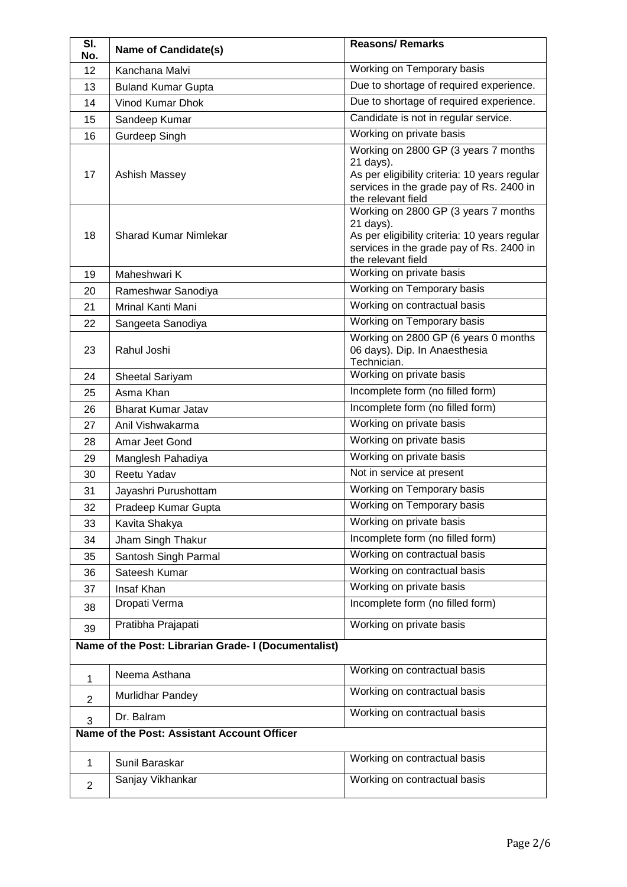| SI.<br>No.                                  | <b>Name of Candidate(s)</b>                          | <b>Reasons/Remarks</b>                                                                                                                                               |
|---------------------------------------------|------------------------------------------------------|----------------------------------------------------------------------------------------------------------------------------------------------------------------------|
| 12                                          | Kanchana Malvi                                       | Working on Temporary basis                                                                                                                                           |
| 13                                          | <b>Buland Kumar Gupta</b>                            | Due to shortage of required experience.                                                                                                                              |
| 14                                          | <b>Vinod Kumar Dhok</b>                              | Due to shortage of required experience.                                                                                                                              |
| 15                                          | Sandeep Kumar                                        | Candidate is not in regular service.                                                                                                                                 |
| 16                                          | <b>Gurdeep Singh</b>                                 | Working on private basis                                                                                                                                             |
| 17                                          | Ashish Massey                                        | Working on 2800 GP (3 years 7 months<br>21 days).<br>As per eligibility criteria: 10 years regular<br>services in the grade pay of Rs. 2400 in<br>the relevant field |
| 18                                          | <b>Sharad Kumar Nimlekar</b>                         | Working on 2800 GP (3 years 7 months<br>21 days).<br>As per eligibility criteria: 10 years regular<br>services in the grade pay of Rs. 2400 in<br>the relevant field |
| 19                                          | Maheshwari K                                         | Working on private basis                                                                                                                                             |
| 20                                          | Rameshwar Sanodiya                                   | Working on Temporary basis                                                                                                                                           |
| 21                                          | <b>Mrinal Kanti Mani</b>                             | Working on contractual basis                                                                                                                                         |
| 22                                          | Sangeeta Sanodiya                                    | Working on Temporary basis                                                                                                                                           |
| 23                                          | Rahul Joshi                                          | Working on 2800 GP (6 years 0 months<br>06 days). Dip. In Anaesthesia<br>Technician.                                                                                 |
| 24                                          | Sheetal Sariyam                                      | Working on private basis                                                                                                                                             |
| 25                                          | Asma Khan                                            | Incomplete form (no filled form)                                                                                                                                     |
| 26                                          | <b>Bharat Kumar Jatav</b>                            | Incomplete form (no filled form)                                                                                                                                     |
| 27                                          | Anil Vishwakarma                                     | Working on private basis                                                                                                                                             |
| 28                                          | Amar Jeet Gond                                       | Working on private basis                                                                                                                                             |
| 29                                          | Manglesh Pahadiya                                    | Working on private basis                                                                                                                                             |
| 30                                          | Reetu Yadav                                          | Not in service at present                                                                                                                                            |
| 31                                          | Jayashri Purushottam                                 | Working on Temporary basis                                                                                                                                           |
| 32                                          | Pradeep Kumar Gupta                                  | Working on Temporary basis                                                                                                                                           |
| 33                                          | Kavita Shakya                                        | Working on private basis                                                                                                                                             |
| 34                                          | Jham Singh Thakur                                    | Incomplete form (no filled form)                                                                                                                                     |
| 35                                          | Santosh Singh Parmal                                 | Working on contractual basis                                                                                                                                         |
| 36                                          | Sateesh Kumar                                        | Working on contractual basis                                                                                                                                         |
| 37                                          | Insaf Khan                                           | Working on private basis                                                                                                                                             |
| 38                                          | Dropati Verma                                        | Incomplete form (no filled form)                                                                                                                                     |
| 39                                          | Pratibha Prajapati                                   | Working on private basis                                                                                                                                             |
|                                             | Name of the Post: Librarian Grade- I (Documentalist) | Working on contractual basis                                                                                                                                         |
| 1                                           | Neema Asthana                                        |                                                                                                                                                                      |
| $\overline{2}$                              | Murlidhar Pandey                                     | Working on contractual basis                                                                                                                                         |
| 3                                           | Dr. Balram                                           | Working on contractual basis                                                                                                                                         |
| Name of the Post: Assistant Account Officer |                                                      |                                                                                                                                                                      |
| $\mathbf{1}$                                | Sunil Baraskar                                       | Working on contractual basis                                                                                                                                         |
| $\overline{2}$                              | Sanjay Vikhankar                                     | Working on contractual basis                                                                                                                                         |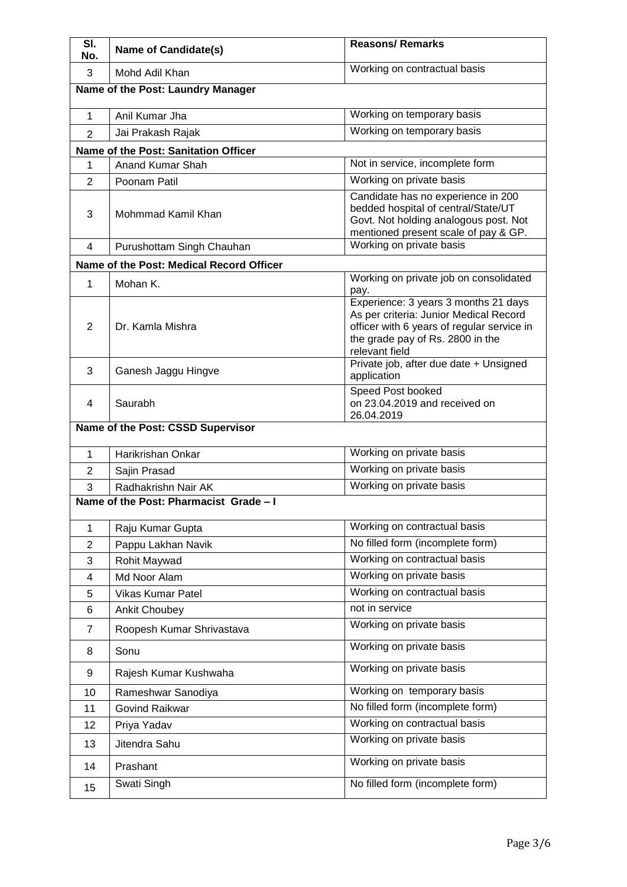| SI.<br>No.                        | <b>Name of Candidate(s)</b>              | <b>Reasons/Remarks</b>                                                                                                                                                             |
|-----------------------------------|------------------------------------------|------------------------------------------------------------------------------------------------------------------------------------------------------------------------------------|
| 3                                 | Mohd Adil Khan                           | Working on contractual basis                                                                                                                                                       |
| Name of the Post: Laundry Manager |                                          |                                                                                                                                                                                    |
| $\mathbf{1}$                      | Anil Kumar Jha                           | Working on temporary basis                                                                                                                                                         |
| $\overline{2}$                    | Jai Prakash Rajak                        | Working on temporary basis                                                                                                                                                         |
|                                   | Name of the Post: Sanitation Officer     |                                                                                                                                                                                    |
| 1                                 | Anand Kumar Shah                         | Not in service, incomplete form                                                                                                                                                    |
| $\overline{2}$                    | Poonam Patil                             | Working on private basis                                                                                                                                                           |
| 3                                 | Mohmmad Kamil Khan                       | Candidate has no experience in 200<br>bedded hospital of central/State/UT<br>Govt. Not holding analogous post. Not<br>mentioned present scale of pay & GP.                         |
| 4                                 | Purushottam Singh Chauhan                | Working on private basis                                                                                                                                                           |
|                                   | Name of the Post: Medical Record Officer |                                                                                                                                                                                    |
| 1                                 | Mohan K.                                 | Working on private job on consolidated<br>pay.                                                                                                                                     |
| $\overline{2}$                    | Dr. Kamla Mishra                         | Experience: 3 years 3 months 21 days<br>As per criteria: Junior Medical Record<br>officer with 6 years of regular service in<br>the grade pay of Rs. 2800 in the<br>relevant field |
| 3                                 | Ganesh Jaggu Hingve                      | Private job, after due date + Unsigned<br>application                                                                                                                              |
| 4                                 | Saurabh                                  | Speed Post booked<br>on 23.04.2019 and received on<br>26.04.2019                                                                                                                   |
|                                   | Name of the Post: CSSD Supervisor        |                                                                                                                                                                                    |
| 1                                 | Harikrishan Onkar                        | Working on private basis                                                                                                                                                           |
| $\overline{2}$                    | Sajin Prasad                             | Working on private basis                                                                                                                                                           |
| 3                                 | Radhakrishn Nair AK                      | Working on private basis                                                                                                                                                           |
|                                   | Name of the Post: Pharmacist Grade - I   |                                                                                                                                                                                    |
| 1                                 | Raju Kumar Gupta                         | Working on contractual basis                                                                                                                                                       |
| $\overline{2}$                    | Pappu Lakhan Navik                       | No filled form (incomplete form)                                                                                                                                                   |
| 3                                 | Rohit Maywad                             | Working on contractual basis                                                                                                                                                       |
| 4                                 | Md Noor Alam                             | Working on private basis                                                                                                                                                           |
| 5                                 | <b>Vikas Kumar Patel</b>                 | Working on contractual basis                                                                                                                                                       |
| 6                                 | <b>Ankit Choubey</b>                     | not in service                                                                                                                                                                     |
| $\overline{7}$                    | Roopesh Kumar Shrivastava                | Working on private basis                                                                                                                                                           |
| 8                                 | Sonu                                     | Working on private basis                                                                                                                                                           |
| 9                                 | Rajesh Kumar Kushwaha                    | Working on private basis                                                                                                                                                           |
| 10                                | Rameshwar Sanodiya                       | Working on temporary basis                                                                                                                                                         |
| 11                                | <b>Govind Raikwar</b>                    | No filled form (incomplete form)                                                                                                                                                   |
| 12                                | Priya Yadav                              | Working on contractual basis                                                                                                                                                       |
| 13                                | Jitendra Sahu                            | Working on private basis                                                                                                                                                           |
| 14                                | Prashant                                 | Working on private basis                                                                                                                                                           |
| 15                                | Swati Singh                              | No filled form (incomplete form)                                                                                                                                                   |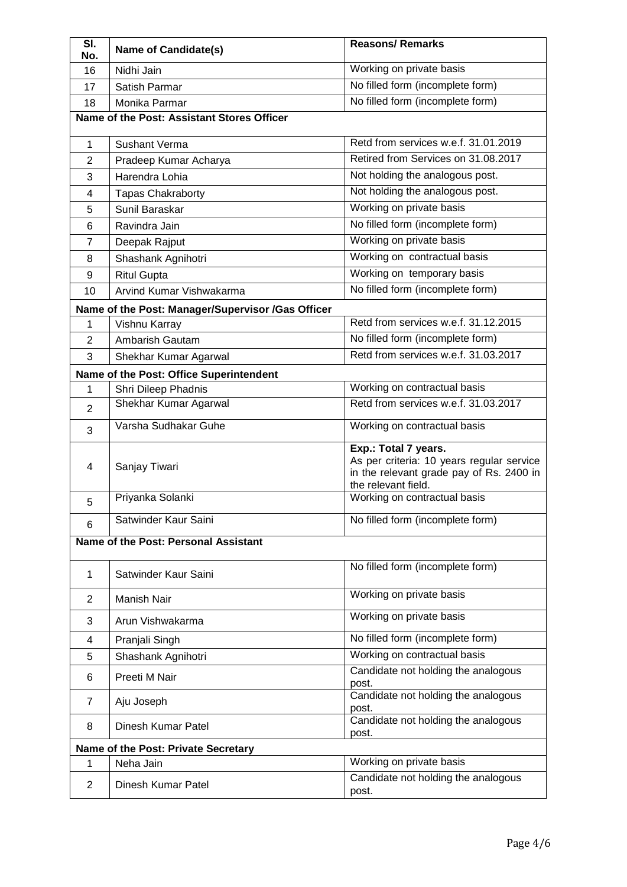| SI.<br>No.                                 | <b>Name of Candidate(s)</b>                       | <b>Reasons/Remarks</b>                                                                                                               |
|--------------------------------------------|---------------------------------------------------|--------------------------------------------------------------------------------------------------------------------------------------|
| 16                                         | Nidhi Jain                                        | Working on private basis                                                                                                             |
| 17                                         | Satish Parmar                                     | No filled form (incomplete form)                                                                                                     |
| 18                                         | Monika Parmar                                     | No filled form (incomplete form)                                                                                                     |
| Name of the Post: Assistant Stores Officer |                                                   |                                                                                                                                      |
| $\mathbf{1}$                               | <b>Sushant Verma</b>                              | Retd from services w.e.f. 31.01.2019                                                                                                 |
| $\overline{2}$                             | Pradeep Kumar Acharya                             | Retired from Services on 31.08.2017                                                                                                  |
| 3                                          | Harendra Lohia                                    | Not holding the analogous post.                                                                                                      |
| 4                                          | <b>Tapas Chakraborty</b>                          | Not holding the analogous post.                                                                                                      |
| 5                                          | Sunil Baraskar                                    | Working on private basis                                                                                                             |
| 6                                          | Ravindra Jain                                     | No filled form (incomplete form)                                                                                                     |
| $\overline{7}$                             | Deepak Rajput                                     | Working on private basis                                                                                                             |
| 8                                          | Shashank Agnihotri                                | Working on contractual basis                                                                                                         |
| 9                                          | <b>Ritul Gupta</b>                                | Working on temporary basis                                                                                                           |
| 10                                         | Arvind Kumar Vishwakarma                          | No filled form (incomplete form)                                                                                                     |
|                                            | Name of the Post: Manager/Supervisor /Gas Officer |                                                                                                                                      |
| 1                                          | Vishnu Karray                                     | Retd from services w.e.f. 31.12.2015                                                                                                 |
| $\overline{2}$                             | Ambarish Gautam                                   | No filled form (incomplete form)                                                                                                     |
| 3                                          | Shekhar Kumar Agarwal                             | Retd from services w.e.f. 31.03.2017                                                                                                 |
|                                            | Name of the Post: Office Superintendent           |                                                                                                                                      |
| 1                                          | Shri Dileep Phadnis                               | Working on contractual basis                                                                                                         |
| $\overline{2}$                             | Shekhar Kumar Agarwal                             | Retd from services w.e.f. 31.03.2017                                                                                                 |
| 3                                          | Varsha Sudhakar Guhe                              | Working on contractual basis                                                                                                         |
| 4                                          | Sanjay Tiwari                                     | Exp.: Total 7 years.<br>As per criteria: 10 years regular service<br>in the relevant grade pay of Rs. 2400 in<br>the relevant field. |
| 5                                          | Priyanka Solanki                                  | Working on contractual basis                                                                                                         |
| 6                                          | Satwinder Kaur Saini                              | No filled form (incomplete form)                                                                                                     |
|                                            | Name of the Post: Personal Assistant              |                                                                                                                                      |
| $\mathbf{1}$                               | Satwinder Kaur Saini                              | No filled form (incomplete form)                                                                                                     |
| $\overline{2}$                             | Manish Nair                                       | Working on private basis                                                                                                             |
| 3                                          | Arun Vishwakarma                                  | Working on private basis                                                                                                             |
| 4                                          | Pranjali Singh                                    | No filled form (incomplete form)                                                                                                     |
| 5                                          | Shashank Agnihotri                                | Working on contractual basis                                                                                                         |
| 6                                          | Preeti M Nair                                     | Candidate not holding the analogous<br>post.                                                                                         |
| 7                                          | Aju Joseph                                        | Candidate not holding the analogous<br>post.                                                                                         |
| 8                                          | Dinesh Kumar Patel                                | Candidate not holding the analogous<br>post.                                                                                         |
| Name of the Post: Private Secretary        |                                                   |                                                                                                                                      |
| 1                                          | Neha Jain                                         | Working on private basis                                                                                                             |
| $\overline{c}$                             | Dinesh Kumar Patel                                | Candidate not holding the analogous<br>post.                                                                                         |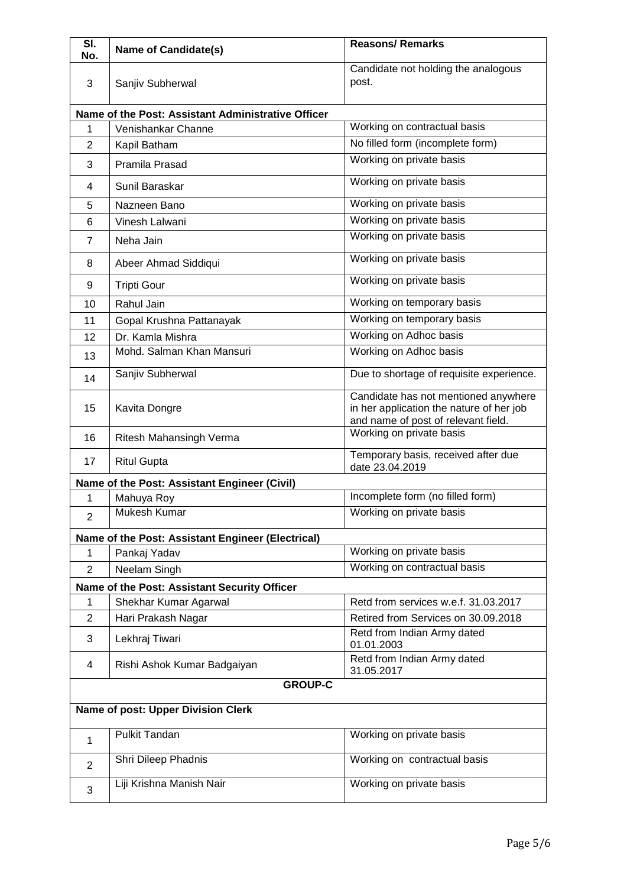| $\overline{\mathsf{SI}}$<br>No.    | <b>Name of Candidate(s)</b>                        | <b>Reasons/ Remarks</b>                                                                                                 |
|------------------------------------|----------------------------------------------------|-------------------------------------------------------------------------------------------------------------------------|
|                                    |                                                    | Candidate not holding the analogous                                                                                     |
| 3                                  | Sanjiv Subherwal                                   | post.                                                                                                                   |
|                                    | Name of the Post: Assistant Administrative Officer |                                                                                                                         |
| 1                                  | Venishankar Channe                                 | Working on contractual basis                                                                                            |
| $\overline{2}$                     | Kapil Batham                                       | No filled form (incomplete form)                                                                                        |
| 3                                  | Pramila Prasad                                     | Working on private basis                                                                                                |
| 4                                  | Sunil Baraskar                                     | Working on private basis                                                                                                |
| 5                                  | Nazneen Bano                                       | Working on private basis                                                                                                |
| 6                                  | Vinesh Lalwani                                     | Working on private basis                                                                                                |
| $\overline{7}$                     | Neha Jain                                          | Working on private basis                                                                                                |
| 8                                  | Abeer Ahmad Siddiqui                               | Working on private basis                                                                                                |
| 9                                  | <b>Tripti Gour</b>                                 | Working on private basis                                                                                                |
| 10                                 | Rahul Jain                                         | Working on temporary basis                                                                                              |
| 11                                 | Gopal Krushna Pattanayak                           | Working on temporary basis                                                                                              |
| 12                                 | Dr. Kamla Mishra                                   | Working on Adhoc basis                                                                                                  |
| 13                                 | Mohd. Salman Khan Mansuri                          | Working on Adhoc basis                                                                                                  |
| 14                                 | Sanjiv Subherwal                                   | Due to shortage of requisite experience.                                                                                |
| 15                                 | Kavita Dongre                                      | Candidate has not mentioned anywhere<br>in her application the nature of her job<br>and name of post of relevant field. |
| 16                                 | Ritesh Mahansingh Verma                            | Working on private basis                                                                                                |
| 17                                 | <b>Ritul Gupta</b>                                 | Temporary basis, received after due<br>date 23.04.2019                                                                  |
|                                    | Name of the Post: Assistant Engineer (Civil)       |                                                                                                                         |
| 1                                  | Mahuya Roy                                         | Incomplete form (no filled form)                                                                                        |
| $\overline{2}$                     | <b>Mukesh Kumar</b>                                | Working on private basis                                                                                                |
|                                    | Name of the Post: Assistant Engineer (Electrical)  |                                                                                                                         |
| 1                                  | Pankaj Yadav                                       | Working on private basis                                                                                                |
| $\overline{2}$                     | Neelam Singh                                       | Working on contractual basis                                                                                            |
|                                    | Name of the Post: Assistant Security Officer       |                                                                                                                         |
| 1                                  | Shekhar Kumar Agarwal                              | Retd from services w.e.f. 31.03.2017                                                                                    |
| $\overline{2}$                     | Hari Prakash Nagar                                 | Retired from Services on 30.09.2018                                                                                     |
| 3                                  | Lekhraj Tiwari                                     | Retd from Indian Army dated<br>01.01.2003                                                                               |
| 4                                  | Rishi Ashok Kumar Badgaiyan                        | Retd from Indian Army dated<br>31.05.2017                                                                               |
|                                    | <b>GROUP-C</b>                                     |                                                                                                                         |
| Name of post: Upper Division Clerk |                                                    |                                                                                                                         |
| 1                                  | <b>Pulkit Tandan</b>                               | Working on private basis                                                                                                |
| $\overline{2}$                     | Shri Dileep Phadnis                                | Working on contractual basis                                                                                            |
| 3                                  | Liji Krishna Manish Nair                           | Working on private basis                                                                                                |